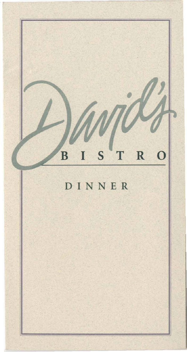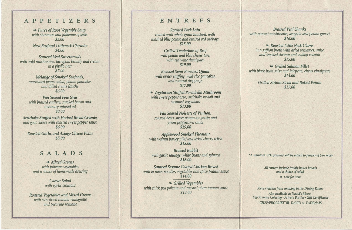**II** 

# **APPETIZERS**

la, *Puree of Root Vegetable Soup with chestnuts and juUienne of leeks*  \$3.00

New *England Litt/eneck Chowder*  \$4.00

*Sauteed Veal Sweetbreads with wild mushrooms, tarragon, brandy and cream in a phyl/O nest*  \$7.00

> *Melange of Smoked Seafoods, marinated fennel salad, potato pancakes and dilled creme fraiche*  \$6.00

> *Pan Seared* Foie *Gras with braised endives, smoked bacon and rosemary infused oil*  \$8.00

*Artichoke Stuffed with Herbed Bread Crumbs and goat cheese with roasted sweet pepper sauce*  \$6.00

*Roasted Garlic and Asiago Cheese Pizza*  \$5.00

### **SALADS**

la, *Mixed Greens with julienne vegetables and a choice of homemade dressing* 

> *Caesar Salad with garlic croutons*

*Roasted Vegetables and Mixed Greens with sun-dried tomato vinaigrette and pecorino romano* 

# **ENTREES**

*Roasted Pork Loin coated with whole grain mustard, with mashed bliss potato and braised red cabbage*  \$15.00

> *Grilled Tenderloin of Beef with potato and bleu cheese tart, with red wine demiglace*  \$19.00

> > *All entrees include freshly baked breads and a choice of salad.*   $\in$  *Low fat item*

*Roasted Semi Boneless Quails with oyster stuffing, wild rice pancakes, and natural drippings*  \$17.00

la, *Vegetarian Stuffed Portabella Mushroom with sweet pepper orzo, artichoke ravioli and steamed vegetables*  \$13.00

> Please refrain from smoking in the Dining Room. *Also available at David's Bistro-Off-Premise Catering' Private Parties' Gift Certificates CHEFIPROPRIETOR- DAVID A. VA.DENAlS*

*Pan Seared Noisette of Venison, roasted beets, sweet potato au gratin and green peppercorn sauce*  \$19.00

*Applewood Smoked Pheasant with walnut barley pilaf and dried cherry relish*  \$18.00

*Braised Rabbit with garlic sausage, white beans and spinach*  \$16.00

*Sauteed Sesame Coated Chicken Breast*  with *lo mein noodles, vegetables and spicy peanut sauce* \$14.00

la, *Grilled Vegetables with chick pea polenta and roasted plum tomato sauce*  \$12.00

.

*Braised Veal Shanks with porcini mushrooms, arugula and potato gnocci*  \$16.00

la, *Roasted Little Neck Clams in a saffron broth with dried tomatoes, anise and smoked shrimp and scallop rissotto*  \$15.00

la, *Grilled Salmon Fillet with black bean salsa and jalepeno, citrus vinaigrette*  \$14.00

> *Grilled Sirloin Steak and Baked Potato*  \$17.00

*\*A standard* 18% *gratuity will be added to parties of* 6 or *more.*